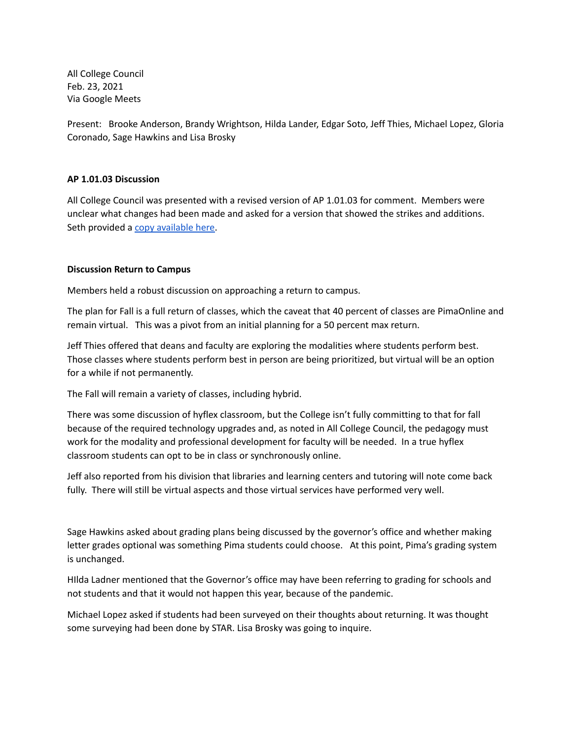All College Council Feb. 23, 2021 Via Google Meets

Present: Brooke Anderson, Brandy Wrightson, Hilda Lander, Edgar Soto, Jeff Thies, Michael Lopez, Gloria Coronado, Sage Hawkins and Lisa Brosky

# **AP 1.01.03 Discussion**

All College Council was presented with a revised version of AP 1.01.03 for comment. Members were unclear what changes had been made and asked for a version that showed the strikes and additions. Seth provided a copy [available](https://drive.google.com/file/d/1wFi-ghPkvThsn8T5XM7ChaC_UEN-_Pca/view?usp=sharing) here.

### **Discussion Return to Campus**

Members held a robust discussion on approaching a return to campus.

The plan for Fall is a full return of classes, which the caveat that 40 percent of classes are PimaOnline and remain virtual. This was a pivot from an initial planning for a 50 percent max return.

Jeff Thies offered that deans and faculty are exploring the modalities where students perform best. Those classes where students perform best in person are being prioritized, but virtual will be an option for a while if not permanently.

The Fall will remain a variety of classes, including hybrid.

There was some discussion of hyflex classroom, but the College isn't fully committing to that for fall because of the required technology upgrades and, as noted in All College Council, the pedagogy must work for the modality and professional development for faculty will be needed. In a true hyflex classroom students can opt to be in class or synchronously online.

Jeff also reported from his division that libraries and learning centers and tutoring will note come back fully. There will still be virtual aspects and those virtual services have performed very well.

Sage Hawkins asked about grading plans being discussed by the governor's office and whether making letter grades optional was something Pima students could choose. At this point, Pima's grading system is unchanged.

HIlda Ladner mentioned that the Governor's office may have been referring to grading for schools and not students and that it would not happen this year, because of the pandemic.

Michael Lopez asked if students had been surveyed on their thoughts about returning. It was thought some surveying had been done by STAR. Lisa Brosky was going to inquire.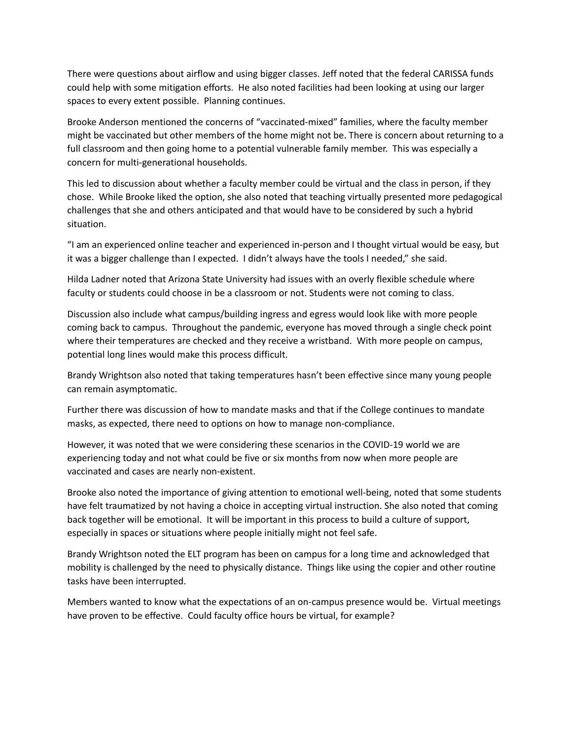There were questions about airflow and using bigger classes. Jeff noted that the federal CARISSA funds could help with some mitigation efforts. He also noted facilities had been looking at using our larger spaces to every extent possible. Planning continues.

Brooke Anderson mentioned the concerns of "vaccinated-mixed" families, where the faculty member might be vaccinated but other members of the home might not be. There is concern about returning to a full classroom and then going home to a potential vulnerable family member. This was especially a concern for multi-generational households.

This led to discussion about whether a faculty member could be virtual and the class in person, if they chose. While Brooke liked the option, she also noted that teaching virtually presented more pedagogical challenges that she and others anticipated and that would have to be considered by such a hybrid situation.

"I am an experienced online teacher and experienced in-person and I thought virtual would be easy, but it was a bigger challenge than I expected. I didn't always have the tools I needed," she said.

Hilda Ladner noted that Arizona State University had issues with an overly flexible schedule where faculty or students could choose in be a classroom or not. Students were not coming to class.

Discussion also include what campus/building ingress and egress would look like with more people coming back to campus. Throughout the pandemic, everyone has moved through a single check point where their temperatures are checked and they receive a wristband. With more people on campus, potential long lines would make this process difficult.

Brandy Wrightson also noted that taking temperatures hasn't been effective since many young people can remain asymptomatic.

Further there was discussion of how to mandate masks and that if the College continues to mandate masks, as expected, there need to options on how to manage non-compliance.

However, it was noted that we were considering these scenarios in the COVID-19 world we are experiencing today and not what could be five or six months from now when more people are vaccinated and cases are nearly non-existent.

Brooke also noted the importance of giving attention to emotional well-being, noted that some students have felt traumatized by not having a choice in accepting virtual instruction. She also noted that coming back together will be emotional. It will be important in this process to build a culture of support, especially in spaces or situations where people initially might not feel safe.

Brandy Wrightson noted the ELT program has been on campus for a long time and acknowledged that mobility is challenged by the need to physically distance. Things like using the copier and other routine tasks have been interrupted.

Members wanted to know what the expectations of an on-campus presence would be. Virtual meetings have proven to be effective. Could faculty office hours be virtual, for example?